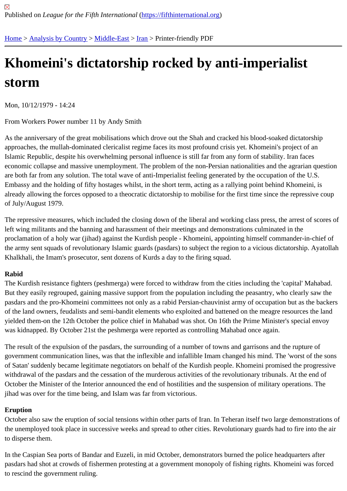# [Kh](https://fifthinternational.org/)[omeini](https://fifthinternational.org/category/1)'[s di](https://fifthinternational.org/category/1)c[tators](https://fifthinternational.org/category/1/178)[hip](https://fifthinternational.org/category/1/178/182) rocked by anti-imperialist storm

Mon, 10/12/1979 - 14:24

From Workers Power number 11 by Andy Smith

As the anniversary of the great mobilisations which drove out the Shah and cracked his blood-soaked dictatorship approaches, the mullah-dominated clericalist regime faces its most profound crisis yet. Khomeini's project of an Islamic Republic, despite his overwhelming personal influence is still far from any form of stability. Iran faces economic collapse and massive unemployment. The problem of the non-Persian nationalities and the agrarian que are both far from any solution. The total wave of anti-Imperialist feeling generated by the occupation of the U.S. Embassy and the holding of fifty hostages whilst, in the short term, acting as a rallying point behind Khomeini, is already allowing the forces opposed to a theocratic dictatorship to mobilise for the first time since the repressive co of July/August 1979.

The repressive measures, which included the closing down of the liberal and working class press, the arrest of sco left wing militants and the banning and harassment of their meetings and demonstrations culminated in the proclamation of a holy war (jihad) against the Kurdish people - Khomeini, appointing himself commander-in-chief c the army sent squads of revolutionary Islamic guards (pasdars) to subject the region to a vicious dictatorship. Ayat Khalkhali, the Imam's prosecutor, sent dozens of Kurds a day to the firing squad.

# Rabid

The Kurdish resistance fighters (peshmerga) were forced to withdraw from the cities including the 'capital' Mahaba But they easily regrouped, gaining massive support from the population including the peasantry, who clearly saw t pasdars and the pro-Khomeini committees not only as a rabid Persian-chauvinist army of occupation but as the ba of the land owners, feudalists and semi-bandit elements who exploited and battened on the meagre resources the yielded them-on the 12th October the police chief in Mahabad was shot. On 16th the Prime Minister's special envo was kidnapped. By October 21st the peshmerga were reported as controlling Mahabad once again.

The result of the expulsion of the pasdars, the surrounding of a number of towns and garrisons and the rupture of government communication lines, was that the inflexible and infallible Imam changed his mind. The 'worst of the so of Satan' suddenly became legitimate negotiators on behalf of the Kurdish people. Khomeini promised the progres withdrawal of the pasdars and the cessation of the murderous activities of the revolutionary tribunals. At the end of October the Minister of the Interior announced the end of hostilities and the suspension of military operations. The jihad was over for the time being, and Islam was far from victorious.

# Eruption

October also saw the eruption of social tensions within other parts of Iran. In Teheran itself two large demonstratio the unemployed took place in successive weeks and spread to other cities. Revolutionary guards had to fire into th to disperse them.

In the Caspian Sea ports of Bandar and Euzeli, in mid October, demonstrators burned the police headquarters afte pasdars had shot at crowds of fishermen protesting at a government monopoly of fishing rights. Khomeini was ford to rescind the government ruling.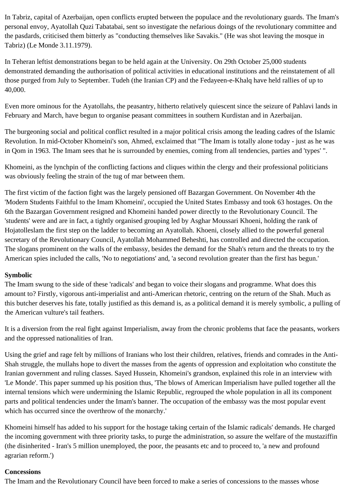In Tabriz, capital of Azerbaijan, open conflicts erupted between the populace and the revolutionary guards. The Imam's personal envoy, Ayatollah Quzi Tabatabai, sent so investigate the nefarious doings of the revolutionary committee and the pasdards, criticised them bitterly as "conducting themselves like Savakis." (He was shot leaving the mosque in Tabriz) (Le Monde 3.11.1979).

In Teheran leftist demonstrations began to be held again at the University. On 29th October 25,000 students demonstrated demanding the authorisation of political activities in educational institutions and the reinstatement of all those purged from July to September. Tudeh (the Iranian CP) and the Fedayeen-e-Khalq have held rallies of up to 40,000.

Even more ominous for the Ayatollahs, the peasantry, hitherto relatively quiescent since the seizure of Pahlavi lands in February and March, have begun to organise peasant committees in southern Kurdistan and in Azerbaijan.

The burgeoning social and political conflict resulted in a major political crisis among the leading cadres of the Islamic Revolution. In mid-October Khomeini's son, Ahmed, exclaimed that "The Imam is totally alone today - just as he was in Qom in 1963. The Imam sees that he is surrounded by enemies, coming from all tendencies, parties and 'types' ".

Khomeini, as the lynchpin of the conflicting factions and cliques within the clergy and their professional politicians was obviously feeling the strain of the tug of mar between them.

The first victim of the faction fight was the largely pensioned off Bazargan Government. On November 4th the 'Modern Students Faithful to the Imam Khomeini', occupied the United States Embassy and took 63 hostages. On the 6th the Bazargan Government resigned and Khomeini handed power directly to the Revolutionary Council. The 'students' were and are in fact, a tightly organised grouping led by Asghar Moussari Khoeni, holding the rank of Hojatolleslam the first step on the ladder to becoming an Ayatollah. Khoeni, closely allied to the powerful general secretary of the Revolutionary Council, Ayatollah Mohammed Beheshti, has controlled and directed the occupation. The slogans prominent on the walls of the embassy, besides the demand for the Shah's return and the threats to try the American spies included the calls, 'No to negotiations' and, 'a second revolution greater than the first has begun.'

# **Symbolic**

The Imam swung to the side of these 'radicals' and began to voice their slogans and programme. What does this amount to? Firstly, vigorous anti-imperialist and anti-American rhetoric, centring on the return of the Shah. Much as this butcher deserves his fate, totally justified as this demand is, as a political demand it is merely symbolic, a pulling of the American vulture's tail feathers.

It is a diversion from the real fight against Imperialism, away from the chronic problems that face the peasants, workers and the oppressed nationalities of Iran.

Using the grief and rage felt by millions of Iranians who lost their children, relatives, friends and comrades in the Anti-Shah struggle, the mullahs hope to divert the masses from the agents of oppression and exploitation who constitute the Iranian government and ruling classes. Sayed Hussein, Khomeini's grandson, explained this role in an interview with 'Le Monde'. This paper summed up his position thus, 'The blows of American Imperialism have pulled together all the internal tensions which were undermining the Islamic Republic, regrouped the whole population in all its component parts and political tendencies under the Imam's banner. The occupation of the embassy was the most popular event which has occurred since the overthrow of the monarchy.'

Khomeini himself has added to his support for the hostage taking certain of the Islamic radicals' demands. He charged the incoming government with three priority tasks, to purge the administration, so assure the welfare of the mustaziffin (the disinherited - Iran's 5 million unemployed, the poor, the peasants etc and to proceed to, 'a new and profound agrarian reform.')

#### **Concessions**

The Imam and the Revolutionary Council have been forced to make a series of concessions to the masses whose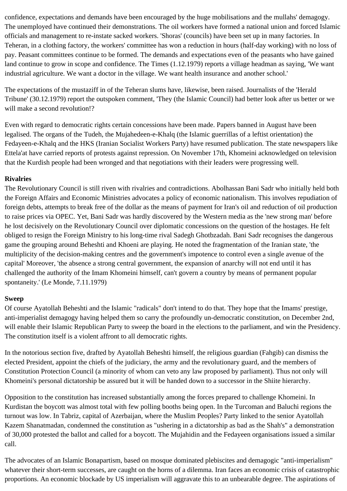confidence, expectations and demands have been encouraged by the huge mobilisations and the mullahs' demagogy. The unemployed have continued their demonstrations. The oil workers have formed a national union and forced Islamic officials and management to re-instate sacked workers. 'Shoras' (councils) have been set up in many factories. In Teheran, in a clothing factory, the workers' committee has won a reduction in hours (half-day working) with no loss of pay. Peasant committees continue to be formed. The demands and expectations even of the peasants who have gained land continue to grow in scope and confidence. The Times (1.12.1979) reports a village headman as saying, 'We want industrial agriculture. We want a doctor in the village. We want health insurance and another school.'

The expectations of the mustaziff in of the Teheran slums have, likewise, been raised. Journalists of the 'Herald Tribune' (30.12.1979) report the outspoken comment, 'They (the Islamic Council) had better look after us better or we will make a second revolution!?

Even with regard to democratic rights certain concessions have been made. Papers banned in August have been legalised. The organs of the Tudeh, the Mujahedeen-e-Khalq (the Islamic guerrillas of a leftist orientation) the Fedayeen-e-Khalq and the HKS (Iranian Socialist Workers Party) have resumed publication. The state newspapers like Ettela'at have carried reports of protests against repression. On November 17th, Khomeini acknowledged on television that the Kurdish people had been wronged and that negotiations with their leaders were progressing well.

# **Rivalries**

The Revolutionary Council is still riven with rivalries and contradictions. Abolhassan Bani Sadr who initially held both the Foreign Affairs and Economic Ministries advocates a policy of economic nationalism. This involves repudiation of foreign debts, attempts to break free of the dollar as the means of payment for Iran's oil and reduction of oil production to raise prices via OPEC. Yet, Bani Sadr was hardly discovered by the Western media as the 'new strong man' before he lost decisively on the Revolutionary Council over diplomatic concessions on the question of the hostages. He felt obliged to resign the Foreign Ministry to his long-time rival Sadegh Ghotbzadah. Bani Sadr recognises the dangerous game the grouping around Beheshti and Khoeni are playing. He noted the fragmentation of the Iranian state, 'the multiplicity of the decision-making centres and the government's impotence to control even a single avenue of the capital' Moreover, 'the absence a strong central government, the expansion of anarchy will not end until it has challenged the authority of the Imam Khomeini himself, can't govern a country by means of permanent popular spontaneity.' (Le Monde, 7.11.1979)

#### **Sweep**

Of course Ayatollah Beheshti and the Islamic "radicals" don't intend to do that. They hope that the Imams' prestige, anti-imperialist demagogy having helped them so carry the profoundly un-democratic constitution, on December 2nd, will enable their Islamic Republican Party to sweep the board in the elections to the parliament, and win the Presidency. The constitution itself is a violent affront to all democratic rights.

In the notorious section five, drafted by Ayatollah Beheshti himself, the religious guardian (Fahgib) can dismiss the elected President, appoint the chiefs of the judiciary, the army and the revolutionary guard, and the members of Constitution Protection Council (a minority of whom can veto any law proposed by parliament). Thus not only will Khomeini's personal dictatorship be assured but it will be handed down to a successor in the Shiite hierarchy.

Opposition to the constitution has increased substantially among the forces prepared to challenge Khomeini. In Kurdistan the boycott was almost total with few polling booths being open. In the Turcoman and Baluchi regions the turnout was low. In Tabriz, capital of Azerbaijan, where the Muslim Peoples? Party linked to the senior Ayatollah Kazem Shanatmadan, condemned the constitution as "ushering in a dictatorship as bad as the Shah's" a demonstration of 30,000 protested the ballot and called for a boycott. The Mujahidin and the Fedayeen organisations issued a similar call.

The advocates of an Islamic Bonapartism, based on mosque dominated plebiscites and demagogic "anti-imperialism" whatever their short-term successes, are caught on the horns of a dilemma. Iran faces an economic crisis of catastrophic proportions. An economic blockade by US imperialism will aggravate this to an unbearable degree. The aspirations of